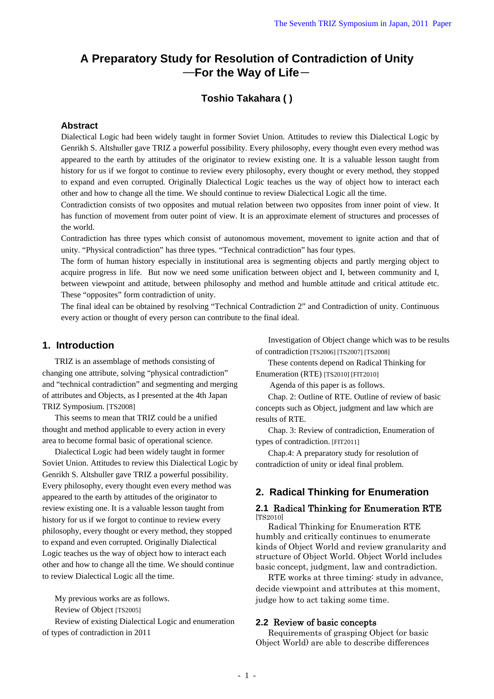# **A Preparatory Study for Resolution of Contradiction of Unity**  ―**For the Way of Life**-

## **Toshio Takahara ( )**

#### **Abstract**

Dialectical Logic had been widely taught in former Soviet Union. Attitudes to review this Dialectical Logic by Genrikh S. Altshuller gave TRIZ a powerful possibility. Every philosophy, every thought even every method was appeared to the earth by attitudes of the originator to review existing one. It is a valuable lesson taught from history for us if we forgot to continue to review every philosophy, every thought or every method, they stopped to expand and even corrupted. Originally Dialectical Logic teaches us the way of object how to interact each other and how to change all the time. We should continue to review Dialectical Logic all the time.

Contradiction consists of two opposites and mutual relation between two opposites from inner point of view. It has function of movement from outer point of view. It is an approximate element of structures and processes of the world.

Contradiction has three types which consist of autonomous movement, movement to ignite action and that of unity. "Physical contradiction" has three types. "Technical contradiction" has four types.

The form of human history especially in institutional area is segmenting objects and partly merging object to acquire progress in life. But now we need some unification between object and I, between community and I, between viewpoint and attitude, between philosophy and method and humble attitude and critical attitude etc. These "opposites" form contradiction of unity.

The final ideal can be obtained by resolving "Technical Contradiction 2" and Contradiction of unity. Continuous every action or thought of every person can contribute to the final ideal.

## **1. Introduction**

TRIZ is an assemblage of methods consisting of changing one attribute, solving "physical contradiction" and "technical contradiction" and segmenting and merging of attributes and Objects, as I presented at the 4th Japan TRIZ Symposium. [TS2008]

This seems to mean that TRIZ could be a unified thought and method applicable to every action in every area to become formal basic of operational science.

Dialectical Logic had been widely taught in former Soviet Union. Attitudes to review this Dialectical Logic by Genrikh S. Altshuller gave TRIZ a powerful possibility. Every philosophy, every thought even every method was appeared to the earth by attitudes of the originator to review existing one. It is a valuable lesson taught from history for us if we forgot to continue to review every philosophy, every thought or every method, they stopped to expand and even corrupted. Originally Dialectical Logic teaches us the way of object how to interact each other and how to change all the time. We should continue to review Dialectical Logic all the time.

My previous works are as follows.

Review of Object [TS2005]

Review of existing Dialectical Logic and enumeration of types of contradiction in 2011

Investigation of Object change which was to be results of contradiction [TS2006] [TS2007] [TS2008]

These contents depend on Radical Thinking for Enumeration (RTE) [TS2010] [FIT2010]

Agenda of this paper is as follows.

Chap. 2: Outline of RTE. Outline of review of basic concepts such as Object, judgment and law which are results of RTE.

Chap. 3: Review of contradiction, Enumeration of types of contradiction. [FIT2011]

Chap.4: A preparatory study for resolution of contradiction of unity or ideal final problem.

## **2. Radical Thinking for Enumeration**

#### **2.1** Radical Thinking for Enumeration RTE [TS2010]

Radical Thinking for Enumeration RTE humbly and critically continues to enumerate kinds of Object World and review granularity and structure of Object World. Object World includes basic concept, judgment, law and contradiction.

RTE works at three timing: study in advance, decide viewpoint and attributes at this moment, judge how to act taking some time.

## **2.2** Review of basic concepts

Requirements of grasping Object (or basic Object World) are able to describe differences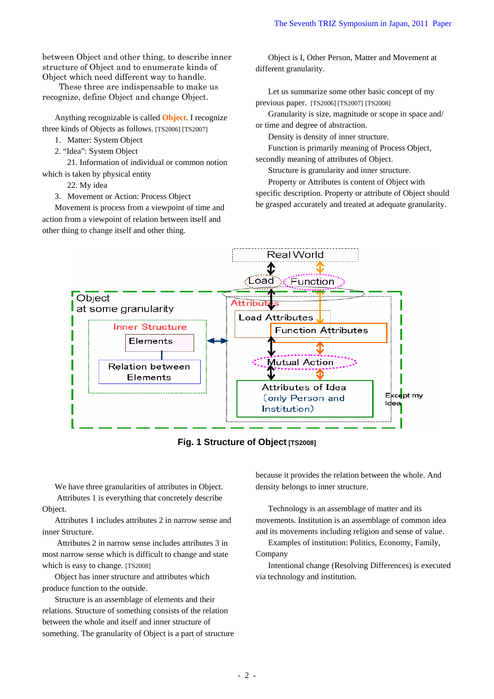between Object and other thing, to describe inner structure of Object and to enumerate kinds of Object which need different way to handle.

These three are indispensable to make us recognize, define Object and change Object.

Anything recognizable is called **Object**. I recognize three kinds of Objects as follows. [TS2006] [TS2007]

- 1. Matter: System Object
- 2. "Idea": System Object

21. Information of individual or common notion which is taken by physical entity

22. My idea

3.Movement or Action: Process Object

Movement is process from a viewpoint of time and action from a viewpoint of relation between itself and other thing to change itself and other thing.

Object is I, Other Person, Matter and Movement at different granularity.

Let us summarize some other basic concept of my previous paper. [TS2006] [TS2007] [TS2008]

Granularity is size, magnitude or scope in space and/ or time and degree of abstraction.

Density is density of inner structure.

Function is primarily meaning of Process Object, secondly meaning of attributes of Object.

Structure is granularity and inner structure.

Property or Attributes is content of Object with specific description. Property or attribute of Object should be grasped accurately and treated at adequate granularity.



**Fig. 1 Structure of Object [TS2008]** 

We have three granularities of attributes in Object.

 Attributes 1 is everything that concretely describe Object.

Attributes 1 includes attributes 2 in narrow sense and inner Structure.

 Attributes 2 in narrow sense includes attributes 3 in most narrow sense which is difficult to change and state which is easy to change. [TS2008]

Object has inner structure and attributes which produce function to the outside.

Structure is an assemblage of elements and their relations. Structure of something consists of the relation between the whole and itself and inner structure of something. The granularity of Object is a part of structure because it provides the relation between the whole. And density belongs to inner structure.

Technology is an assemblage of matter and its movements. Institution is an assemblage of common idea and its movements including religion and sense of value.

Examples of institution: Politics, Economy, Family, Company

Intentional change (Resolving Differences) is executed via technology and institution.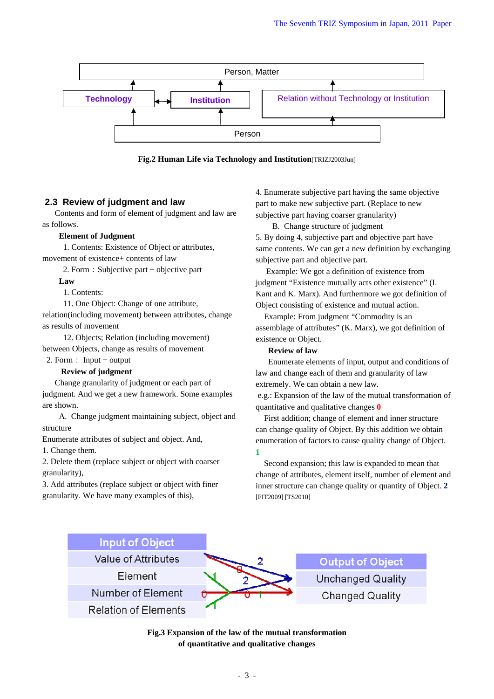

**Fig.2 Human Life via Technology and Institution**[TRIZJ2003Jun]

## **2.3 Review of judgment and law**

Contents and form of element of judgment and law are as follows.

#### **Element of Judgment**

 1. Contents: Existence of Object or attributes, movement of existence+ contents of law

2. Form: Subjective part  $+$  objective part

**Law** 

1. Contents:

11. One Object: Change of one attribute, relation(including movement) between attributes, change as results of movement

12. Objects; Relation (including movement) between Objects, change as results of movement

# 2. Form: Input + output

 **Review of judgment**

Change granularity of judgment or each part of judgment. And we get a new framework. Some examples are shown.

A. Change judgment maintaining subject, object and structure

Enumerate attributes of subject and object. And,

1. Change them.

2. Delete them (replace subject or object with coarser granularity),

3. Add attributes (replace subject or object with finer granularity. We have many examples of this),

4. Enumerate subjective part having the same objective part to make new subjective part. (Replace to new subjective part having coarser granularity)

B. Change structure of judgment

5. By doing 4, subjective part and objective part have same contents. We can get a new definition by exchanging subjective part and objective part.

 Example: We got a definition of existence from judgment "Existence mutually acts other existence" (I. Kant and K. Marx). And furthermore we got definition of Object consisting of existence and mutual action.

Example: From judgment "Commodity is an assemblage of attributes" (K. Marx), we got definition of existence or Object.

#### **Review of law**

Enumerate elements of input, output and conditions of law and change each of them and granularity of law extremely. We can obtain a new law.

 e.g.: Expansion of the law of the mutual transformation of quantitative and qualitative changes **0** 

First addition; change of element and inner structure can change quality of Object. By this addition we obtain enumeration of factors to cause quality change of Object. **1**

Second expansion; this law is expanded to mean that change of attributes, element itself, number of element and inner structure can change quality or quantity of Object. **2** [FIT2009] [TS2010]



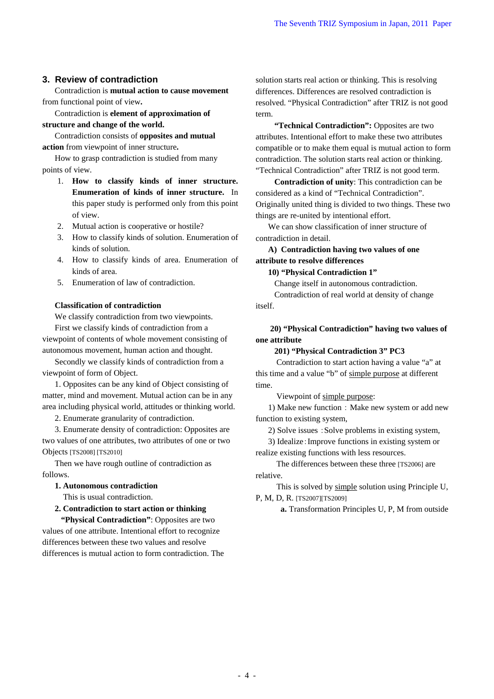## **3. Review of contradiction**

Contradiction is **mutual action to cause movement** from functional point of view**.**

Contradiction is **element of approximation of structure and change of the world.**

Contradiction consists of **opposites and mutual action** from viewpoint of inner structure**.**

How to grasp contradiction is studied from many points of view.

- 1. **How to classify kinds of inner structure. Enumeration of kinds of inner structure.** In this paper study is performed only from this point of view.
- 2. Mutual action is cooperative or hostile?
- 3. How to classify kinds of solution. Enumeration of kinds of solution.
- 4. How to classify kinds of area. Enumeration of kinds of area.
- 5. Enumeration of law of contradiction.

#### **Classification of contradiction**

We classify contradiction from two viewpoints.

First we classify kinds of contradiction from a viewpoint of contents of whole movement consisting of autonomous movement, human action and thought.

Secondly we classify kinds of contradiction from a viewpoint of form of Object.

1. Opposites can be any kind of Object consisting of matter, mind and movement. Mutual action can be in any area including physical world, attitudes or thinking world.

2. Enumerate granularity of contradiction.

3. Enumerate density of contradiction: Opposites are two values of one attributes, two attributes of one or two Objects [TS2008] [TS2010]

Then we have rough outline of contradiction as follows.

#### **1. Autonomous contradiction**

This is usual contradiction.

#### **2. Contradiction to start action or thinking**

 **"Physical Contradiction"**: Opposites are two values of one attribute. Intentional effort to recognize differences between these two values and resolve differences is mutual action to form contradiction. The solution starts real action or thinking. This is resolving differences. Differences are resolved contradiction is resolved. "Physical Contradiction" after TRIZ is not good term.

 **"Technical Contradiction":** Opposites are two attributes. Intentional effort to make these two attributes compatible or to make them equal is mutual action to form contradiction. The solution starts real action or thinking. "Technical Contradiction" after TRIZ is not good term.

 **Contradiction of unity**: This contradiction can be considered as a kind of "Technical Contradiction". Originally united thing is divided to two things. These two things are re-united by intentional effort.

We can show classification of inner structure of contradiction in detail.

## **A) Contradiction having two values of one attribute to resolve differences**

#### **10) "Physical Contradiction 1"**

Change itself in autonomous contradiction.

 Contradiction of real world at density of change itself.

## **20) "Physical Contradiction" having two values of one attribute**

#### **201) "Physical Contradiction 3" PC3**

Contradiction to start action having a value "a" at this time and a value "b" of simple purpose at different time.

Viewpoint of simple purpose:

1) Make new function : Make new system or add new function to existing system,

2) Solve issues :Solve problems in existing system,

3) Idealize:Improve functions in existing system or realize existing functions with less resources.

 The differences between these three [TS2006] are relative.

 This is solved by simple solution using Principle U, P, M, D, R. [TS2007][TS2009]

**a.** Transformation Principles U, P, M from outside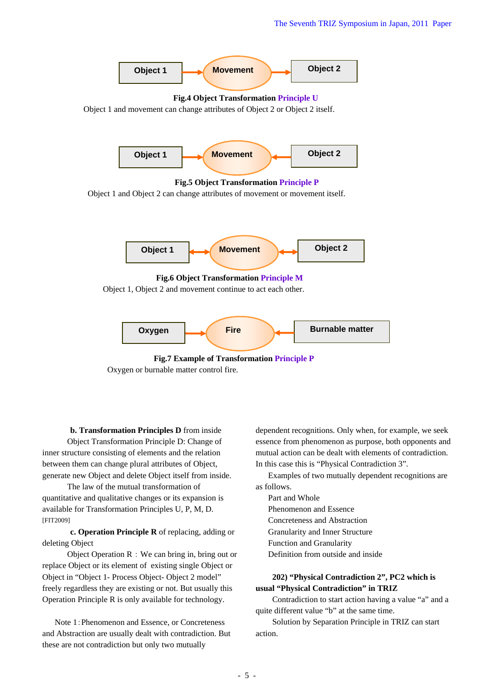



**b. Transformation Principles D** from inside Object Transformation Principle D: Change of inner structure consisting of elements and the relation between them can change plural attributes of Object, generate new Object and delete Object itself from inside.

The law of the mutual transformation of quantitative and qualitative changes or its expansion is available for Transformation Principles U, P, M, D. [FIT2009]

**c. Operation Principle R** of replacing, adding or deleting Object

Object Operation R : We can bring in, bring out or replace Object or its element of existing single Object or Object in "Object 1- Process Object- Object 2 model" freely regardless they are existing or not. But usually this Operation Principle R is only available for technology.

Note 1:Phenomenon and Essence, or Concreteness and Abstraction are usually dealt with contradiction. But these are not contradiction but only two mutually

dependent recognitions. Only when, for example, we seek essence from phenomenon as purpose, both opponents and mutual action can be dealt with elements of contradiction. In this case this is "Physical Contradiction 3".

Examples of two mutually dependent recognitions are as follows.

- Part and Whole Phenomenon and Essence Concreteness and Abstraction Granularity and Inner Structure Function and Granularity
- Definition from outside and inside

## **202) "Physical Contradiction 2", PC2 which is usual "Physical Contradiction" in TRIZ**

Contradiction to start action having a value "a" and a quite different value "b" at the same time.

Solution by Separation Principle in TRIZ can start action.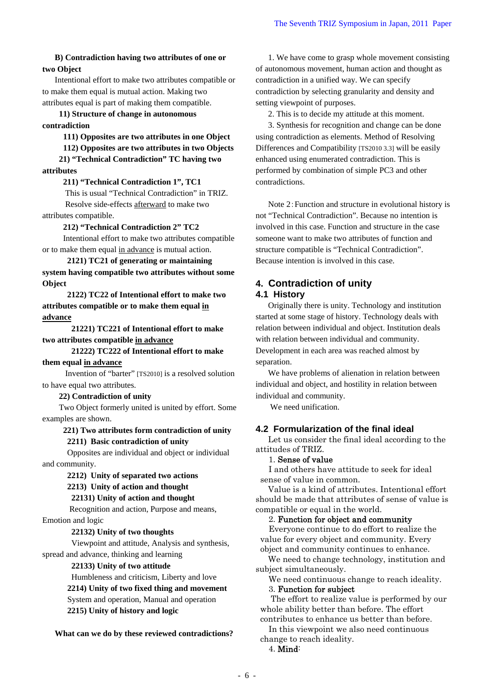#### **B) Contradiction having two attributes of one or two Object**

Intentional effort to make two attributes compatible or to make them equal is mutual action. Making two attributes equal is part of making them compatible.

**11) Structure of change in autonomous** 

#### **contradiction**

**111) Opposites are two attributes in one Object** 

 **112) Opposites are two attributes in two Objects 21) "Technical Contradiction" TC having two** 

**attributes** 

#### **211) "Technical Contradiction 1", TC1**

 This is usual "Technical Contradiction" in TRIZ. Resolve side-effects afterward to make two

## attributes compatible.

**212) "Technical Contradiction 2" TC2** 

Intentional effort to make two attributes compatible or to make them equal in advance is mutual action.

 **2121) TC21 of generating or maintaining system having compatible two attributes without some Object** 

 **2122) TC22 of Intentional effort to make two attributes compatible or to make them equal in advance** 

 **21221) TC221 of Intentional effort to make two attributes compatible in advance** 

 **21222) TC222 of Intentional effort to make** 

## **them equal in advance**

 Invention of "barter" [TS2010] is a resolved solution to have equal two attributes.

#### **22) Contradiction of unity**

Two Object formerly united is united by effort. Some examples are shown.

#### **221) Two attributes form contradiction of unity 2211) Basic contradiction of unity**

Opposites are individual and object or individual and community.

 **2212) Unity of separated two actions** 

#### **2213) Unity of action and thought**

 **22131) Unity of action and thought** 

 Recognition and action, Purpose and means, Emotion and logic

## **22132) Unity of two thoughts**

 Viewpoint and attitude, Analysis and synthesis, spread and advance, thinking and learning

## **22133) Unity of two attitude**

Humbleness and criticism, Liberty and love

**2214) Unity of two fixed thing and movement** 

System and operation, Manual and operation

**2215) Unity of history and logic** 

**What can we do by these reviewed contradictions?** 

1. We have come to grasp whole movement consisting of autonomous movement, human action and thought as contradiction in a unified way. We can specify contradiction by selecting granularity and density and setting viewpoint of purposes.

2. This is to decide my attitude at this moment.

3. Synthesis for recognition and change can be done using contradiction as elements. Method of Resolving Differences and Compatibility [TS2010 3.3] will be easily enhanced using enumerated contradiction. This is performed by combination of simple PC3 and other contradictions.

Note 2:Function and structure in evolutional history is not "Technical Contradiction". Because no intention is involved in this case. Function and structure in the case someone want to make two attributes of function and structure compatible is "Technical Contradiction". Because intention is involved in this case.

## **4. Contradiction of unity 4.1 History**

Originally there is unity. Technology and institution started at some stage of history. Technology deals with relation between individual and object. Institution deals with relation between individual and community. Development in each area was reached almost by separation.

We have problems of alienation in relation between individual and object, and hostility in relation between individual and community.

We need unification.

## **4.2 Formularization of the final ideal**

Let us consider the final ideal according to the attitudes of TRIZ.

#### 1. Sense of value

I and others have attitude to seek for ideal sense of value in common.

Value is a kind of attributes. Intentional effort should be made that attributes of sense of value is compatible or equal in the world.

## 2. Function for object and community

Everyone continue to do effort to realize the value for every object and community. Every object and community continues to enhance.

We need to change technology, institution and subject simultaneously.

We need continuous change to reach ideality.

#### 3. Function for subject

 The effort to realize value is performed by our whole ability better than before. The effort contributes to enhance us better than before.

In this viewpoint we also need continuous change to reach ideality.

4. Mind: